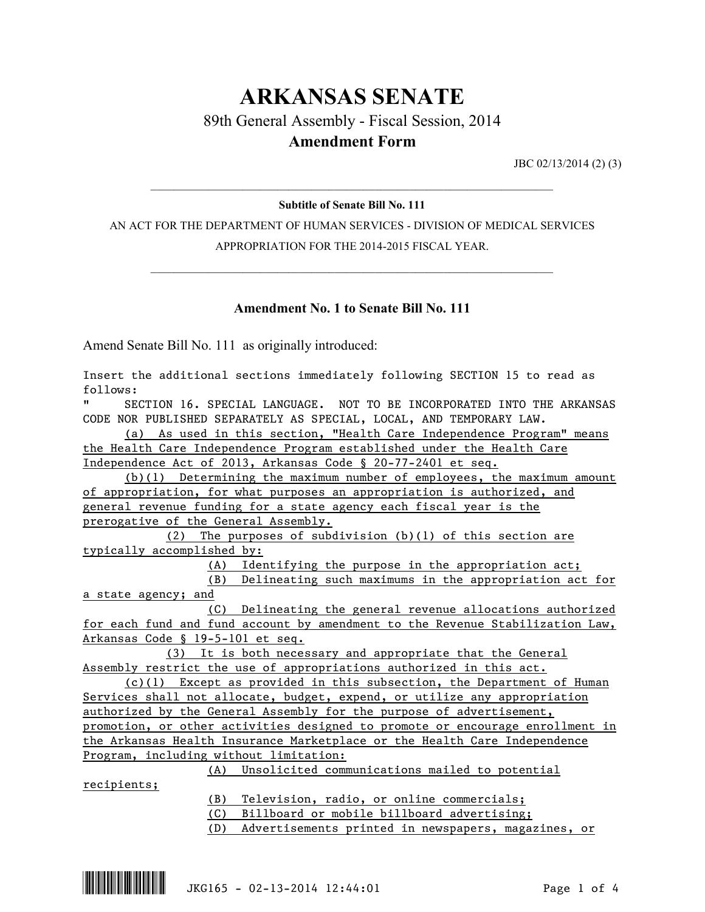# **ARKANSAS SENATE**

89th General Assembly - Fiscal Session, 2014

## **Amendment Form**

JBC 02/13/2014 (2) (3)

## $\mathcal{L}_\mathcal{L} = \mathcal{L}_\mathcal{L} = \mathcal{L}_\mathcal{L} = \mathcal{L}_\mathcal{L} = \mathcal{L}_\mathcal{L} = \mathcal{L}_\mathcal{L} = \mathcal{L}_\mathcal{L} = \mathcal{L}_\mathcal{L} = \mathcal{L}_\mathcal{L} = \mathcal{L}_\mathcal{L} = \mathcal{L}_\mathcal{L} = \mathcal{L}_\mathcal{L} = \mathcal{L}_\mathcal{L} = \mathcal{L}_\mathcal{L} = \mathcal{L}_\mathcal{L} = \mathcal{L}_\mathcal{L} = \mathcal{L}_\mathcal{L}$ **Subtitle of Senate Bill No. 111**

AN ACT FOR THE DEPARTMENT OF HUMAN SERVICES - DIVISION OF MEDICAL SERVICES APPROPRIATION FOR THE 2014-2015 FISCAL YEAR.

 $\mathcal{L}_\mathcal{L} = \mathcal{L}_\mathcal{L} = \mathcal{L}_\mathcal{L} = \mathcal{L}_\mathcal{L} = \mathcal{L}_\mathcal{L} = \mathcal{L}_\mathcal{L} = \mathcal{L}_\mathcal{L} = \mathcal{L}_\mathcal{L} = \mathcal{L}_\mathcal{L} = \mathcal{L}_\mathcal{L} = \mathcal{L}_\mathcal{L} = \mathcal{L}_\mathcal{L} = \mathcal{L}_\mathcal{L} = \mathcal{L}_\mathcal{L} = \mathcal{L}_\mathcal{L} = \mathcal{L}_\mathcal{L} = \mathcal{L}_\mathcal{L}$ 

### **Amendment No. 1 to Senate Bill No. 111**

Amend Senate Bill No. 111 as originally introduced:

| Insert the additional sections immediately following SECTION 15 to read as    |
|-------------------------------------------------------------------------------|
| follows:                                                                      |
| SECTION 16. SPECIAL LANGUAGE. NOT TO BE INCORPORATED INTO THE ARKANSAS        |
| CODE NOR PUBLISHED SEPARATELY AS SPECIAL, LOCAL, AND TEMPORARY LAW.           |
| (a) As used in this section, "Health Care Independence Program" means         |
| the Health Care Independence Program established under the Health Care        |
| Independence Act of 2013, Arkansas Code § 20-77-2401 et seq.                  |
| $(b)(1)$ Determining the maximum number of employees, the maximum amount      |
| of appropriation, for what purposes an appropriation is authorized, and       |
| general revenue funding for a state agency each fiscal year is the            |
| prerogative of the General Assembly.                                          |
| (2) The purposes of subdivision (b)(1) of this section are                    |
| typically accomplished by:                                                    |
| (A) Identifying the purpose in the appropriation act;                         |
| (B) Delineating such maximums in the appropriation act for                    |
| a state agency; and                                                           |
| (C) Delineating the general revenue allocations authorized                    |
| for each fund and fund account by amendment to the Revenue Stabilization Law, |
| Arkansas Code § 19-5-101 et seq.                                              |
| (3) It is both necessary and appropriate that the General                     |
| Assembly restrict the use of appropriations authorized in this act.           |
| $(c)(1)$ Except as provided in this subsection, the Department of Human       |
| Services shall not allocate, budget, expend, or utilize any appropriation     |
| authorized by the General Assembly for the purpose of advertisement,          |
| promotion, or other activities designed to promote or encourage enrollment in |
| the Arkansas Health Insurance Marketplace or the Health Care Independence     |
| Program, including without limitation:                                        |
| (A) Unsolicited communications mailed to potential                            |
| recipients;                                                                   |
| (B) Television, radio, or online commercials;                                 |
| $(0)$ Dillhood in makila hillhood administration                              |

(C) Billboard or mobile billboard advertising;

(D) Advertisements printed in newspapers, magazines, or

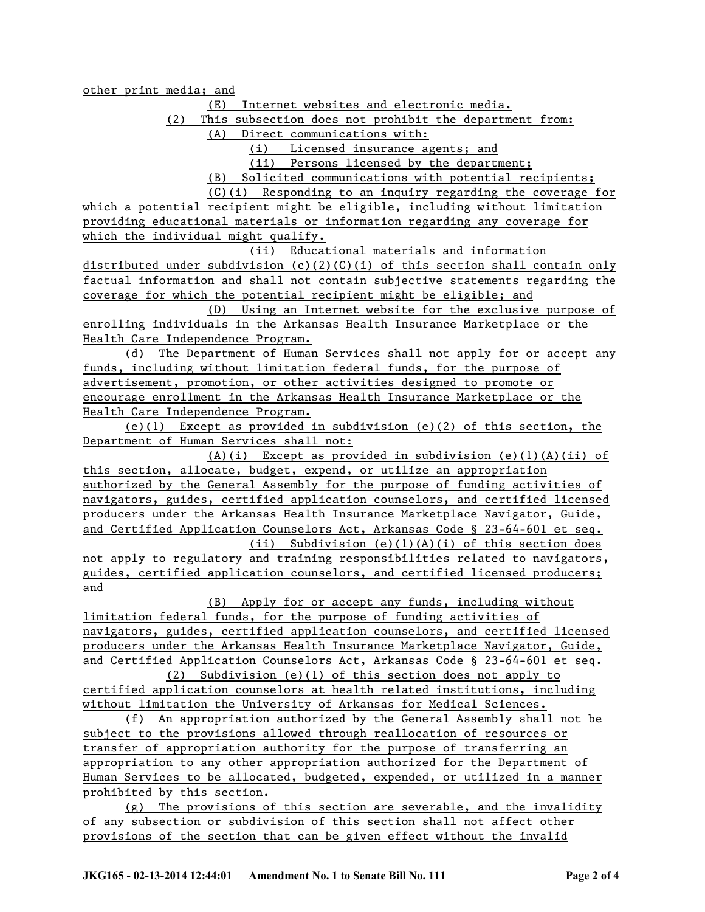other print media; and

(E) Internet websites and electronic media.

(2) This subsection does not prohibit the department from:

(A) Direct communications with:

(i) Licensed insurance agents; and

(ii) Persons licensed by the department;

(B) Solicited communications with potential recipients;

(C)(i) Responding to an inquiry regarding the coverage for which a potential recipient might be eligible, including without limitation providing educational materials or information regarding any coverage for which the individual might qualify.

(ii) Educational materials and information distributed under subdivision (c)(2)(C)(i) of this section shall contain only factual information and shall not contain subjective statements regarding the coverage for which the potential recipient might be eligible; and

(D) Using an Internet website for the exclusive purpose of enrolling individuals in the Arkansas Health Insurance Marketplace or the Health Care Independence Program.

(d) The Department of Human Services shall not apply for or accept any funds, including without limitation federal funds, for the purpose of advertisement, promotion, or other activities designed to promote or encourage enrollment in the Arkansas Health Insurance Marketplace or the Health Care Independence Program.

(e)(1) Except as provided in subdivision (e)(2) of this section, the Department of Human Services shall not:

(A)(i) Except as provided in subdivision (e)(1)(A)(ii) of this section, allocate, budget, expend, or utilize an appropriation authorized by the General Assembly for the purpose of funding activities of navigators, guides, certified application counselors, and certified licensed producers under the Arkansas Health Insurance Marketplace Navigator, Guide, and Certified Application Counselors Act, Arkansas Code § 23-64-601 et seq.

(ii) Subdivision (e)(1)(A)(i) of this section does not apply to regulatory and training responsibilities related to navigators, guides, certified application counselors, and certified licensed producers; and

(B) Apply for or accept any funds, including without limitation federal funds, for the purpose of funding activities of navigators, guides, certified application counselors, and certified licensed producers under the Arkansas Health Insurance Marketplace Navigator, Guide, and Certified Application Counselors Act, Arkansas Code § 23-64-601 et seq.

(2) Subdivision (e)(1) of this section does not apply to certified application counselors at health related institutions, including without limitation the University of Arkansas for Medical Sciences.

(f) An appropriation authorized by the General Assembly shall not be subject to the provisions allowed through reallocation of resources or transfer of appropriation authority for the purpose of transferring an appropriation to any other appropriation authorized for the Department of Human Services to be allocated, budgeted, expended, or utilized in a manner prohibited by this section.

(g) The provisions of this section are severable, and the invalidity of any subsection or subdivision of this section shall not affect other provisions of the section that can be given effect without the invalid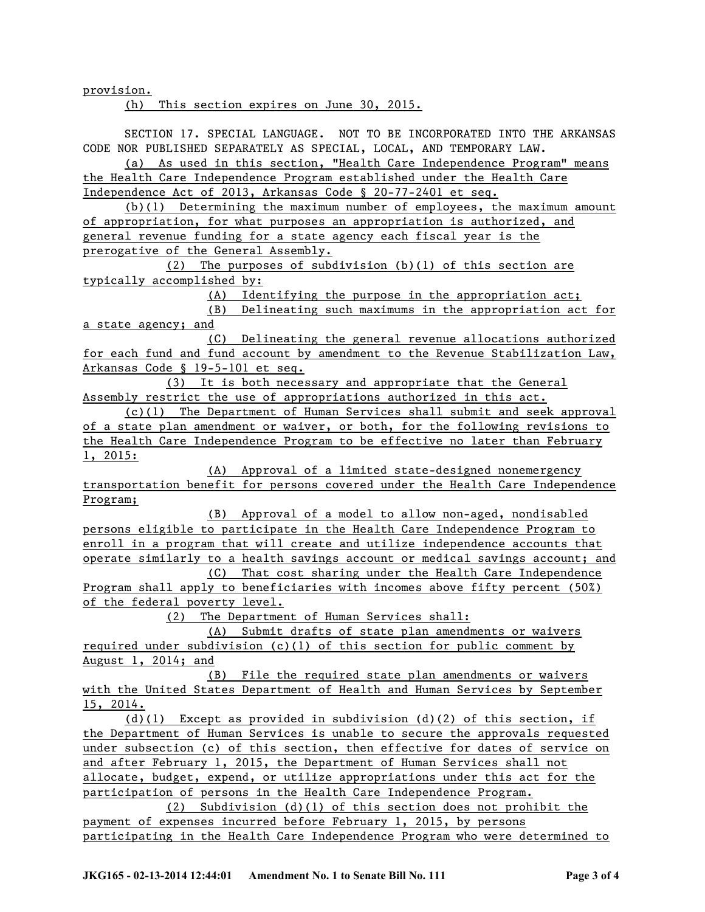provision.

(h) This section expires on June 30, 2015.

SECTION 17. SPECIAL LANGUAGE. NOT TO BE INCORPORATED INTO THE ARKANSAS CODE NOR PUBLISHED SEPARATELY AS SPECIAL, LOCAL, AND TEMPORARY LAW.

(a) As used in this section, "Health Care Independence Program" means the Health Care Independence Program established under the Health Care Independence Act of 2013, Arkansas Code § 20-77-2401 et seq.

(b)(1) Determining the maximum number of employees, the maximum amount of appropriation, for what purposes an appropriation is authorized, and general revenue funding for a state agency each fiscal year is the prerogative of the General Assembly.

(2) The purposes of subdivision (b)(1) of this section are typically accomplished by:

(A) Identifying the purpose in the appropriation act;

(B) Delineating such maximums in the appropriation act for a state agency; and

(C) Delineating the general revenue allocations authorized for each fund and fund account by amendment to the Revenue Stabilization Law, Arkansas Code § 19-5-101 et seq.

(3) It is both necessary and appropriate that the General Assembly restrict the use of appropriations authorized in this act.

(c)(1) The Department of Human Services shall submit and seek approval of a state plan amendment or waiver, or both, for the following revisions to the Health Care Independence Program to be effective no later than February 1, 2015:

(A) Approval of a limited state-designed nonemergency transportation benefit for persons covered under the Health Care Independence Program;

(B) Approval of a model to allow non-aged, nondisabled persons eligible to participate in the Health Care Independence Program to enroll in a program that will create and utilize independence accounts that operate similarly to a health savings account or medical savings account; and (C) That cost sharing under the Health Care Independence Program shall apply to beneficiaries with incomes above fifty percent (50%)

of the federal poverty level.

(2) The Department of Human Services shall:

(A) Submit drafts of state plan amendments or waivers required under subdivision (c)(1) of this section for public comment by August 1, 2014; and

(B) File the required state plan amendments or waivers with the United States Department of Health and Human Services by September 15, 2014.

(d)(1) Except as provided in subdivision (d)(2) of this section, if the Department of Human Services is unable to secure the approvals requested under subsection (c) of this section, then effective for dates of service on and after February 1, 2015, the Department of Human Services shall not allocate, budget, expend, or utilize appropriations under this act for the participation of persons in the Health Care Independence Program.

(2) Subdivision (d)(1) of this section does not prohibit the payment of expenses incurred before February 1, 2015, by persons participating in the Health Care Independence Program who were determined to